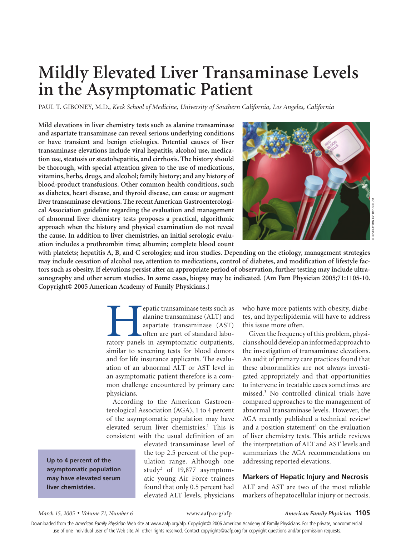# **Mildly Elevated Liver Transaminase Levels in the Asymptomatic Patient**

PAUL T. GIBONEY, M.D., *Keck School of Medicine, University of Southern California, Los Angeles, California*

**Mild elevations in liver chemistry tests such as alanine transaminase and aspartate transaminase can reveal serious underlying conditions or have transient and benign etiologies. Potential causes of liver transaminase elevations include viral hepatitis, alcohol use, medication use, steatosis or steatohepatitis, and cirrhosis. The history should be thorough, with special attention given to the use of medications, vitamins, herbs, drugs, and alcohol; family history; and any history of blood-product transfusions. Other common health conditions, such as diabetes, heart disease, and thyroid disease, can cause or augment liver transaminase elevations. The recent American Gastroenterological Association guideline regarding the evaluation and management of abnormal liver chemistry tests proposes a practical, algorithmic approach when the history and physical examination do not reveal the cause. In addition to liver chemistries, an initial serologic evaluation includes a prothrombin time; albumin; complete blood count** 



**with platelets; hepatitis A, B, and C serologies; and iron studies. Depending on the etiology, management strategies may include cessation of alcohol use, attention to medications, control of diabetes, and modification of lifestyle factors such as obesity. If elevations persist after an appropriate period of observation, further testing may include ultrasonography and other serum studies. In some cases, biopsy may be indicated. (Am Fam Physician 2005;71:1105-10. Copyright© 2005 American Academy of Family Physicians.)**

> **Example 12** (epatic transaminase tests such as alanine transaminase (ALT) and aspartate transaminase (AST) often are part of standard laboratory panels in asymptomatic outpatients, alanine transaminase (ALT) and aspartate transaminase (AST) often are part of standard labosimilar to screening tests for blood donors and for life insurance applicants. The evaluation of an abnormal ALT or AST level in an asymptomatic patient therefore is a common challenge encountered by primary care physicians.

> According to the American Gastroenterological Association (AGA), 1 to 4 percent of the asymptomatic population may have elevated serum liver chemistries.<sup>1</sup> This is consistent with the usual definition of an

> > elevated transaminase level of the top 2.5 percent of the population range. Although one study2 of 19,877 asymptomatic young Air Force trainees found that only 0.5 percent had elevated ALT levels, physicians

who have more patients with obesity, diabetes, and hyperlipidemia will have to address this issue more often.

Given the frequency of this problem, physicians should develop an informed approach to the investigation of transaminase elevations. An audit of primary care practices found that these abnormalities are not always investigated appropriately and that opportunities to intervene in treatable cases sometimes are missed.3 No controlled clinical trials have compared approaches to the management of abnormal transaminase levels. However, the AGA recently published a technical review<sup>1</sup> and a position statement<sup>4</sup> on the evaluation of liver chemistry tests. This article reviews the interpretation of ALT and AST levels and summarizes the AGA recommendations on addressing reported elevations.

# **Markers of Hepatic Injury and Necrosis**

ALT and AST are two of the most reliable markers of hepatocellular injury or necrosis.

**Up to 4 percent of the asymptomatic population may have elevated serum liver chemistries.**

#### *March 15, 2005* ◆ *Volume 71, Number 6* www.aafp.org/afp *American Family Physician* **1105**

Downloaded from the *American Family Physician* Web site at www.aafp.org/afp. Copyright© 2005 American Academy of Family Physicians. For the private, noncommercial use of one individual user of the Web site. All other rights reserved. Contact copyrights@aafp.org for copyright questions and/or permission requests.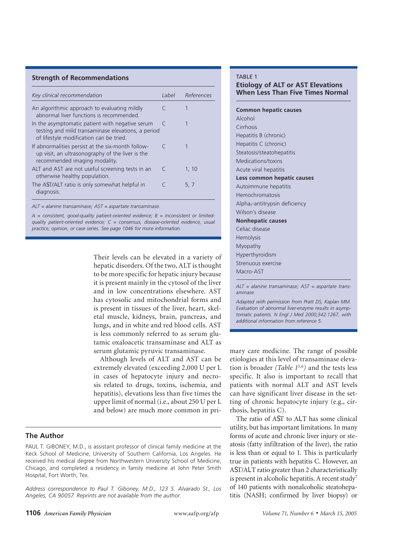#### **Strength of Recommendations**

| Key clinical recommendation                                                                                                                      | Label     | References |
|--------------------------------------------------------------------------------------------------------------------------------------------------|-----------|------------|
| An algorithmic approach to evaluating mildly<br>abnormal liver functions is recommended.                                                         |           |            |
| In the asymptomatic patient with negative serum<br>testing and mild transaminase elevations, a period<br>of lifestyle modification can be tried. |           |            |
| If abnormalities persist at the six-month follow-<br>up visit, an ultrasonography of the liver is the<br>recommended imaging modality.           | $\subset$ |            |
| ALT and AST are not useful screening tests in an<br>otherwise healthy population.                                                                | C         | 1.10       |
| The AST/ALT ratio is only somewhat helpful in<br>diagnosis.                                                                                      |           | 5.7        |

*ALT = alanine transaminase; AST = aspartate transaminase.*

*A = consistent, good-quality patient-oriented evidence; B = inconsistent or limitedquality patient-oriented evidence; C = consensus, disease-oriented evidence, usual practice, opinion, or case series. See page 1046 for more information.*

> Their levels can be elevated in a variety of hepatic disorders. Of the two, ALT is thought to be more specific for hepatic injury because it is present mainly in the cytosol of the liver and in low concentrations elsewhere. AST has cytosolic and mitochondrial forms and is present in tissues of the liver, heart, skeletal muscle, kidneys, brain, pancreas, and lungs, and in white and red blood cells. AST is less commonly referred to as serum glutamic oxaloacetic transaminase and ALT as serum glutamic pyruvic transaminase.

> Although levels of ALT and AST can be extremely elevated (exceeding 2,000 U per L in cases of hepatocyte injury and necrosis related to drugs, toxins, ischemia, and hepatitis), elevations less than five times the upper limit of normal (i.e., about 250 U per L and below) are much more common in pri-

# **The Author**

PAUL T. GIBONEY, M.D., is assistant professor of clinical family medicine at the Keck School of Medicine, University of Southern California, Los Angeles. He received his medical degree from Northwestern University School of Medicine, Chicago, and completed a residency in family medicine at John Peter Smith Hospital, Fort Worth, Tex.

*Address correspondence to Paul T. Giboney, M.D., 123 S. Alvarado St., Los Angeles, CA 90057. Reprints are not available from the author.*

#### TABLE 1

# **Etiology of ALT or AST Elevations When Less Than Five Times Normal**

**Common hepatic causes** Alcohol Cirrhosis Hepatitis B (chronic) Hepatitis C (chronic) Steatosis/steatohepatitis Medications/toxins Acute viral hepatitis **Less common hepatic causes** Autoimmune hepatitis Hemochromatosis Alpha<sub>1</sub>-antitrypsin deficiency Wilson's disease **Nonhepatic causes** Celiac disease Hemolysis Myopathy Hyperthyroidism Strenuous exercise Macro-AST

*ALT = alanine transaminase; AST = aspartate transaminase.*

*Adapted with permission from Pratt DS, Kaplan MM. Evaluation of abnormal liver-enzyme results in asymptomatic patients. N Engl J Med 2000;342:1267, with additional information from reference 5.*

mary care medicine. The range of possible etiologies at this level of transaminase elevation is broader *(Table 15,6)* and the tests less specific. It also is important to recall that patients with normal ALT and AST levels can have significant liver disease in the setting of chronic hepatocyte injury (e.g., cirrhosis, hepatitis C).

The ratio of AST to ALT has some clinical utility, but has important limitations. In many forms of acute and chronic liver injury or steatosis (fatty infiltration of the liver), the ratio is less than or equal to 1. This is particularly true in patients with hepatitis C. However, an AST/ALT ratio greater than 2 characteristically is present in alcoholic hepatitis. A recent study<sup>7</sup> of 140 patients with nonalcoholic steatohepatitis (NASH; confirmed by liver biopsy) or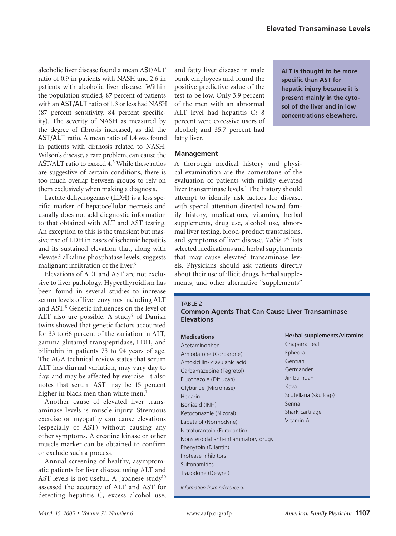alcoholic liver disease found a mean AST/ALT ratio of 0.9 in patients with NASH and 2.6 in patients with alcoholic liver disease. Within the population studied, 87 percent of patients with an AST/ALT ratio of 1.3 or less had NASH (87 percent sensitivity, 84 percent specificity). The severity of NASH as measured by the degree of fibrosis increased, as did the AST/ALT ratio. A mean ratio of 1.4 was found in patients with cirrhosis related to NASH. Wilson's disease, a rare problem, can cause the AST/ALT ratio to exceed 4.5 While these ratios are suggestive of certain conditions, there is too much overlap between groups to rely on them exclusively when making a diagnosis.

Lactate dehydrogenase (LDH) is a less specific marker of hepatocellular necrosis and usually does not add diagnostic information to that obtained with ALT and AST testing. An exception to this is the transient but massive rise of LDH in cases of ischemic hepatitis and its sustained elevation that, along with elevated alkaline phosphatase levels, suggests malignant infiltration of the liver.<sup>5</sup>

Elevations of ALT and AST are not exclusive to liver pathology. Hyperthyroidism has been found in several studies to increase serum levels of liver enzymes including ALT and AST.<sup>8</sup> Genetic influences on the level of ALT also are possible. A study<sup>9</sup> of Danish twins showed that genetic factors accounted for 33 to 66 percent of the variation in ALT, gamma glutamyl transpeptidase, LDH, and bilirubin in patients 73 to 94 years of age. The AGA technical review states that serum ALT has diurnal variation, may vary day to day, and may be affected by exercise. It also notes that serum AST may be 15 percent higher in black men than white men.<sup>1</sup>

Another cause of elevated liver transaminase levels is muscle injury. Strenuous exercise or myopathy can cause elevations (especially of AST) without causing any other symptoms. A creatine kinase or other muscle marker can be obtained to confirm or exclude such a process.

Annual screening of healthy, asymptomatic patients for liver disease using ALT and AST levels is not useful. A Japanese study<sup>10</sup> assessed the accuracy of ALT and AST for detecting hepatitis C, excess alcohol use, and fatty liver disease in male bank employees and found the positive predictive value of the test to be low. Only 3.9 percent of the men with an abnormal ALT level had hepatitis C; 8 percent were excessive users of alcohol; and 35.7 percent had fatty liver.

**ALT is thought to be more specific than AST for hepatic injury because it is present mainly in the cytosol of the liver and in low concentrations elsewhere.**

### **Management**

A thorough medical history and physical examination are the cornerstone of the evaluation of patients with mildly elevated liver transaminase levels.1 The history should attempt to identify risk factors for disease, with special attention directed toward family history, medications, vitamins, herbal supplements, drug use, alcohol use, abnormal liver testing, blood-product transfusions, and symptoms of liver disease. *Table 2*<sup>6</sup> lists selected medications and herbal supplements that may cause elevated transaminase levels. Physicians should ask patients directly about their use of illicit drugs, herbal supplements, and other alternative "supplements"

#### TABLE 2

# **Common Agents That Can Cause Liver Transaminase Elevations**

| <b>Medications</b>                                                                                                                                                                 | <b>Herbal supplements/vitamins</b> |
|------------------------------------------------------------------------------------------------------------------------------------------------------------------------------------|------------------------------------|
| Acetaminophen                                                                                                                                                                      | Chaparral leaf                     |
| Amiodarone (Cordarone)                                                                                                                                                             | Ephedra                            |
| Amoxicillin-clavulanic acid                                                                                                                                                        | Gentian                            |
| Carbamazepine (Tegretol)                                                                                                                                                           | Germander                          |
| Fluconazole (Diflucan)                                                                                                                                                             | Jin bu huan                        |
| Glyburide (Micronase)                                                                                                                                                              | Kava                               |
| Labetalol (Normodyne)<br>Nitrofurantoin (Furadantin)<br>Nonsteroidal anti-inflammatory drugs<br>Phenytoin (Dilantin)<br>Protease inhibitors<br>Sulfonamides<br>Trazodone (Desyrel) | Vitamin A                          |

*Information from reference 6.*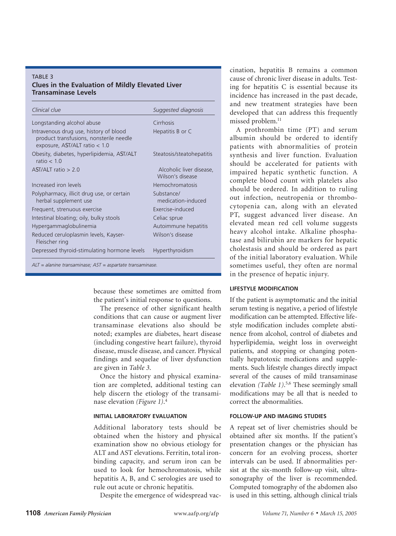# TARI F 3 **Clues in the Evaluation of Mildly Elevated Liver Transaminase Levels**

| Clinical clue                                                                                                        | Suggested diagnosis                          |
|----------------------------------------------------------------------------------------------------------------------|----------------------------------------------|
| Longstanding alcohol abuse                                                                                           | Cirrhosis                                    |
| Intravenous drug use, history of blood<br>product transfusions, nonsterile needle<br>exposure, AST/ALT ratio $<$ 1.0 | Hepatitis B or C                             |
| Obesity, diabetes, hyperlipidemia, AST/ALT<br>ratio $< 10$                                                           | Steatosis/steatohepatitis                    |
| $AST/AI$ T ratio $> 2.0$                                                                                             | Alcoholic liver disease,<br>Wilson's disease |
| Increased iron levels                                                                                                | <b>Hemochromatosis</b>                       |
| Polypharmacy, illicit drug use, or certain<br>herbal supplement use                                                  | Substance/<br>medication-induced             |
| Frequent, strenuous exercise                                                                                         | Exercise-induced                             |
| Intestinal bloating; oily, bulky stools                                                                              | Celiac sprue                                 |
| Hypergammaglobulinemia                                                                                               | Autoimmune hepatitis                         |
| Reduced ceruloplasmin levels, Kayser-<br>Fleischer ring                                                              | Wilson's disease                             |
| Depressed thyroid-stimulating hormone levels                                                                         | <b>Hyperthyroidism</b>                       |
|                                                                                                                      |                                              |

*ALT = alanine transaminase; AST = aspartate transaminase.*

because these sometimes are omitted from the patient's initial response to questions.

The presence of other significant health conditions that can cause or augment liver transaminase elevations also should be noted; examples are diabetes, heart disease (including congestive heart failure), thyroid disease, muscle disease, and cancer. Physical findings and sequelae of liver dysfunction are given in *Table 3*.

Once the history and physical examination are completed, additional testing can help discern the etiology of the transaminase elevation *(Figure 1)*. 4

# **INITIAL LABORATORY EVALUATION**

Additional laboratory tests should be obtained when the history and physical examination show no obvious etiology for ALT and AST elevations. Ferritin, total ironbinding capacity, and serum iron can be used to look for hemochromatosis, while hepatitis A, B, and C serologies are used to rule out acute or chronic hepatitis.

Despite the emergence of widespread vac-

cination, hepatitis B remains a common cause of chronic liver disease in adults. Testing for hepatitis C is essential because its incidence has increased in the past decade, and new treatment strategies have been developed that can address this frequently missed problem.<sup>11</sup>

A prothrombin time (PT) and serum albumin should be ordered to identify patients with abnormalities of protein synthesis and liver function. Evaluation should be accelerated for patients with impaired hepatic synthetic function. A complete blood count with platelets also should be ordered. In addition to ruling out infection, neutropenia or thrombocytopenia can, along with an elevated PT, suggest advanced liver disease. An elevated mean red cell volume suggests heavy alcohol intake. Alkaline phosphatase and bilirubin are markers for hepatic cholestasis and should be ordered as part of the initial laboratory evaluation. While sometimes useful, they often are normal in the presence of hepatic injury.

### **LIFESTYLE MODIFICATION**

If the patient is asymptomatic and the initial serum testing is negative, a period of lifestyle modification can be attempted. Effective lifestyle modification includes complete abstinence from alcohol, control of diabetes and hyperlipidemia, weight loss in overweight patients, and stopping or changing potentially hepatotoxic medications and supplements. Such lifestyle changes directly impact several of the causes of mild transaminase elevation *(Table 1)*. 5,6 These seemingly small modifications may be all that is needed to correct the abnormalities.

# **FOLLOW-UP AND IMAGING STUDIES**

A repeat set of liver chemistries should be obtained after six months. If the patient's presentation changes or the physician has concern for an evolving process, shorter intervals can be used. If abnormalities persist at the six-month follow-up visit, ultrasonography of the liver is recommended. Computed tomography of the abdomen also is used in this setting, although clinical trials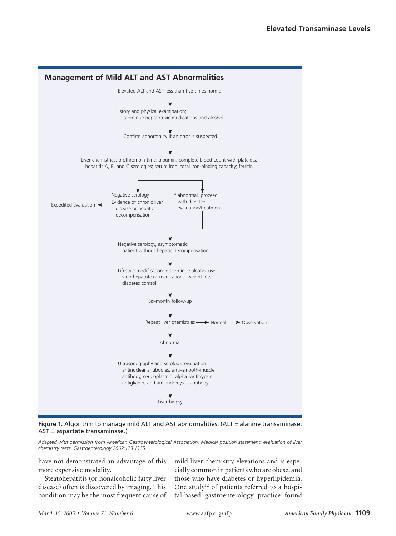



*Adapted with permission from American Gastroenterological Association. Medical position statement: evaluation of liver chemistry tests. Gastroenterology 2002;123:1365.*

have not demonstrated an advantage of this more expensive modality.

Steatohepatitis (or nonalcoholic fatty liver disease) often is discovered by imaging. This condition may be the most frequent cause of mild liver chemistry elevations and is especially common in patients who are obese, and those who have diabetes or hyperlipidemia. One study<sup>12</sup> of patients referred to a hospital-based gastroenterology practice found